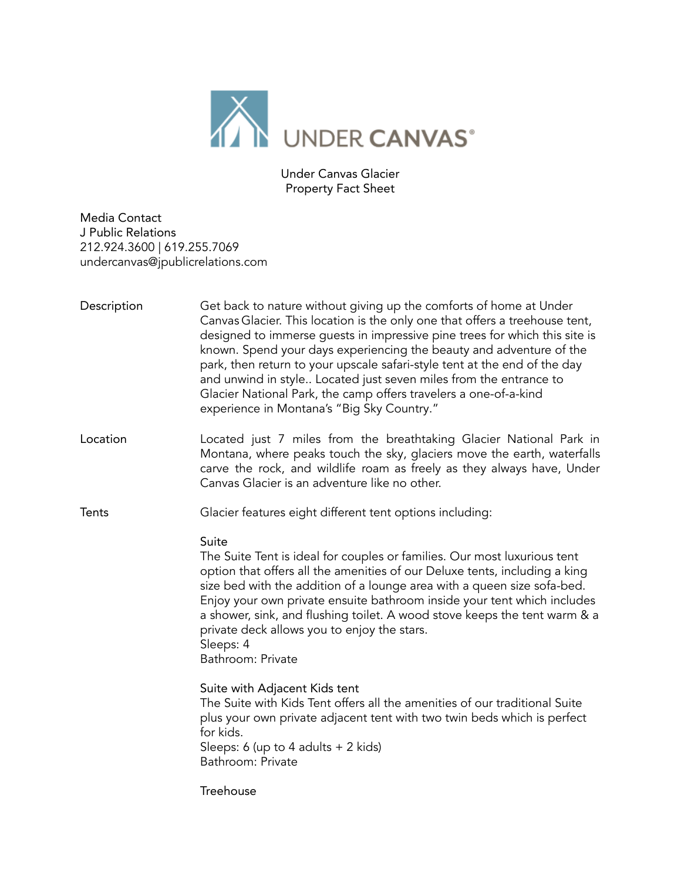

Under Canvas Glacier Property Fact Sheet

Media Contact J Public Relations 212.924.3600 | 619.255.7069 undercanvas@jpublicrelations.com

| Description  | Get back to nature without giving up the comforts of home at Under<br>Canvas Glacier. This location is the only one that offers a treehouse tent,<br>designed to immerse guests in impressive pine trees for which this site is<br>known. Spend your days experiencing the beauty and adventure of the<br>park, then return to your upscale safari-style tent at the end of the day<br>and unwind in style Located just seven miles from the entrance to<br>Glacier National Park, the camp offers travelers a one-of-a-kind<br>experience in Montana's "Big Sky Country." |
|--------------|----------------------------------------------------------------------------------------------------------------------------------------------------------------------------------------------------------------------------------------------------------------------------------------------------------------------------------------------------------------------------------------------------------------------------------------------------------------------------------------------------------------------------------------------------------------------------|
| Location     | Located just 7 miles from the breathtaking Glacier National Park in<br>Montana, where peaks touch the sky, glaciers move the earth, waterfalls<br>carve the rock, and wildlife roam as freely as they always have, Under<br>Canvas Glacier is an adventure like no other.                                                                                                                                                                                                                                                                                                  |
| <b>Tents</b> | Glacier features eight different tent options including:                                                                                                                                                                                                                                                                                                                                                                                                                                                                                                                   |
|              | Suite<br>The Suite Tent is ideal for couples or families. Our most luxurious tent<br>option that offers all the amenities of our Deluxe tents, including a king<br>size bed with the addition of a lounge area with a queen size sofa-bed.<br>Enjoy your own private ensuite bathroom inside your tent which includes<br>a shower, sink, and flushing toilet. A wood stove keeps the tent warm & a<br>private deck allows you to enjoy the stars.<br>Sleeps: 4<br>Bathroom: Private                                                                                        |
|              | Suite with Adjacent Kids tent<br>The Suite with Kids Tent offers all the amenities of our traditional Suite<br>plus your own private adjacent tent with two twin beds which is perfect<br>for kids.<br>Sleeps: 6 (up to 4 adults $+ 2$ kids)<br>Bathroom: Private                                                                                                                                                                                                                                                                                                          |
|              | Treehouse                                                                                                                                                                                                                                                                                                                                                                                                                                                                                                                                                                  |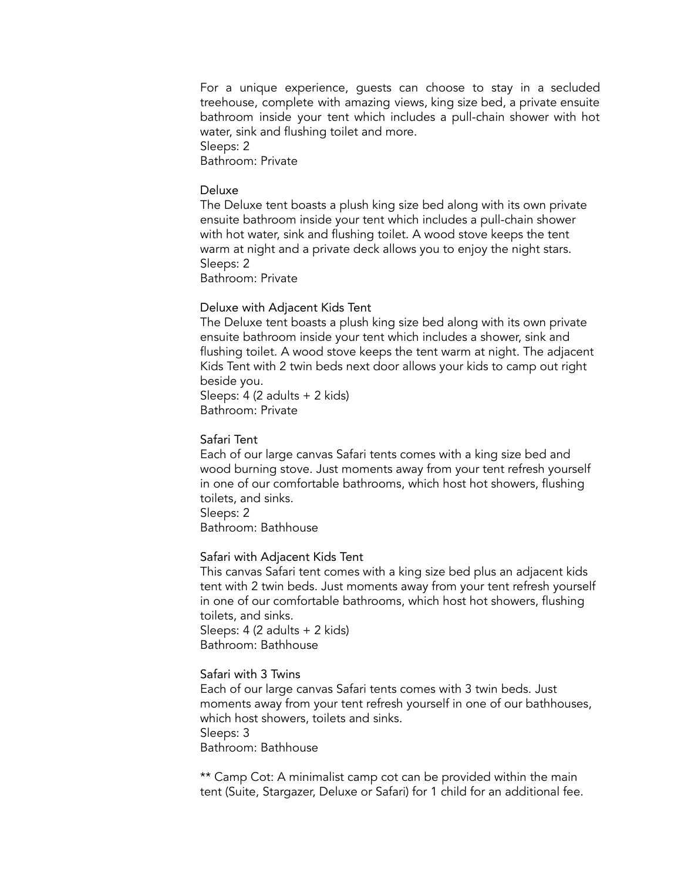For a unique experience, guests can choose to stay in a secluded treehouse, complete with amazing views, king size bed, a private ensuite bathroom inside your tent which includes a pull-chain shower with hot water, sink and flushing toilet and more. Sleeps: 2

Bathroom: Private

### Deluxe

The Deluxe tent boasts a plush king size bed along with its own private ensuite bathroom inside your tent which includes a pull-chain shower with hot water, sink and flushing toilet. A wood stove keeps the tent warm at night and a private deck allows you to enjoy the night stars. Sleeps: 2

Bathroom: Private

#### Deluxe with Adjacent Kids Tent

The Deluxe tent boasts a plush king size bed along with its own private ensuite bathroom inside your tent which includes a shower, sink and flushing toilet. A wood stove keeps the tent warm at night. The adjacent Kids Tent with 2 twin beds next door allows your kids to camp out right beside you.

Sleeps: 4 (2 adults + 2 kids) Bathroom: Private

### Safari Tent

Each of our large canvas Safari tents comes with a king size bed and wood burning stove. Just moments away from your tent refresh yourself in one of our comfortable bathrooms, which host hot showers, flushing toilets, and sinks.

Sleeps: 2

Bathroom: Bathhouse

### Safari with Adjacent Kids Tent

This canvas Safari tent comes with a king size bed plus an adjacent kids tent with 2 twin beds. Just moments away from your tent refresh yourself in one of our comfortable bathrooms, which host hot showers, flushing toilets, and sinks.

Sleeps: 4 (2 adults + 2 kids) Bathroom: Bathhouse

# Safari with 3 Twins

Each of our large canvas Safari tents comes with 3 twin beds. Just moments away from your tent refresh yourself in one of our bathhouses, which host showers, toilets and sinks. Sleeps: 3 Bathroom: Bathhouse

\*\* Camp Cot: A minimalist camp cot can be provided within the main tent (Suite, Stargazer, Deluxe or Safari) for 1 child for an additional fee.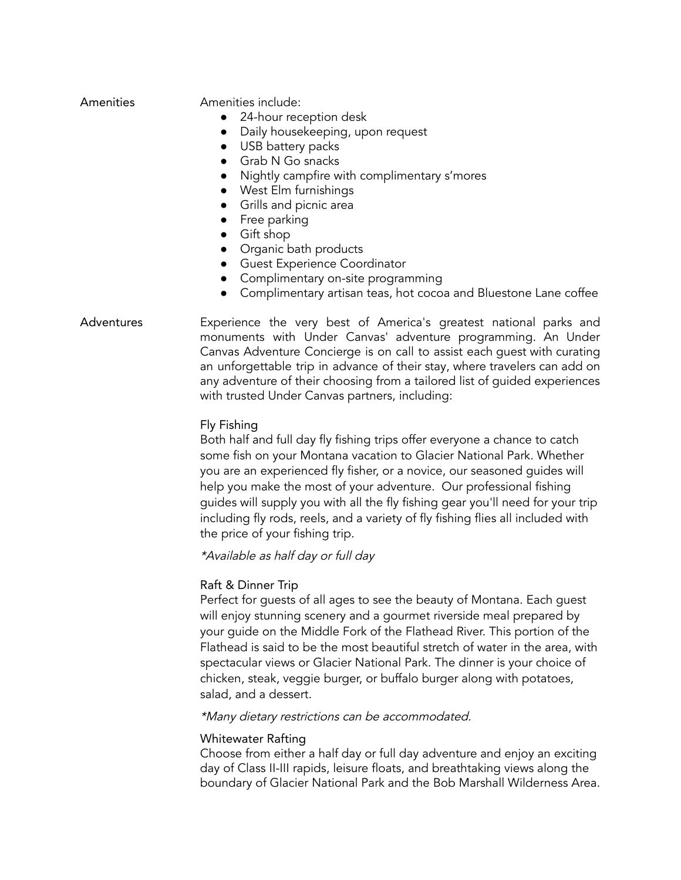| Amenities |  |
|-----------|--|
|           |  |
|           |  |

Amenities include:

- 24-hour reception desk
- Daily housekeeping, upon request
- USB battery packs
- Grab N Go snacks
- Nightly campfire with complimentary s'mores
- West Elm furnishings
- Grills and picnic area
- Free parking
- Gift shop
- Organic bath products
- Guest Experience Coordinator
- Complimentary on-site programming
- Complimentary artisan teas, hot cocoa and Bluestone Lane coffee

# Adventures Experience the very best of America's greatest national parks and monuments with Under Canvas' adventure programming. An Under Canvas Adventure Concierge is on call to assist each guest with curating an unforgettable trip in advance of their stay, where travelers can add on any adventure of their choosing from a tailored list of guided experiences with trusted Under Canvas partners, including:

## Fly Fishing

Both half and full day fly fishing trips offer everyone a chance to catch some fish on your Montana vacation to Glacier National Park. Whether you are an experienced fly fisher, or a novice, our seasoned guides will help you make the most of your adventure. Our professional fishing guides will supply you with all the fly fishing gear you'll need for your trip including fly rods, reels, and a variety of fly fishing flies all included with the price of your fishing trip.

\*Available as half day or full day

# Raft & Dinner Trip

Perfect for guests of all ages to see the beauty of Montana. Each guest will enjoy stunning scenery and a gourmet riverside meal prepared by your guide on the Middle Fork of the Flathead River. This portion of the Flathead is said to be the most beautiful stretch of water in the area, with spectacular views or Glacier National Park. The dinner is your choice of chicken, steak, veggie burger, or buffalo burger along with potatoes, salad, and a dessert.

## \*Many dietary restrictions can be accommodated.

# Whitewater Rafting

Choose from either a half day or full day adventure and enjoy an exciting day of Class II-III rapids, leisure floats, and breathtaking views along the boundary of Glacier National Park and the Bob Marshall Wilderness Area.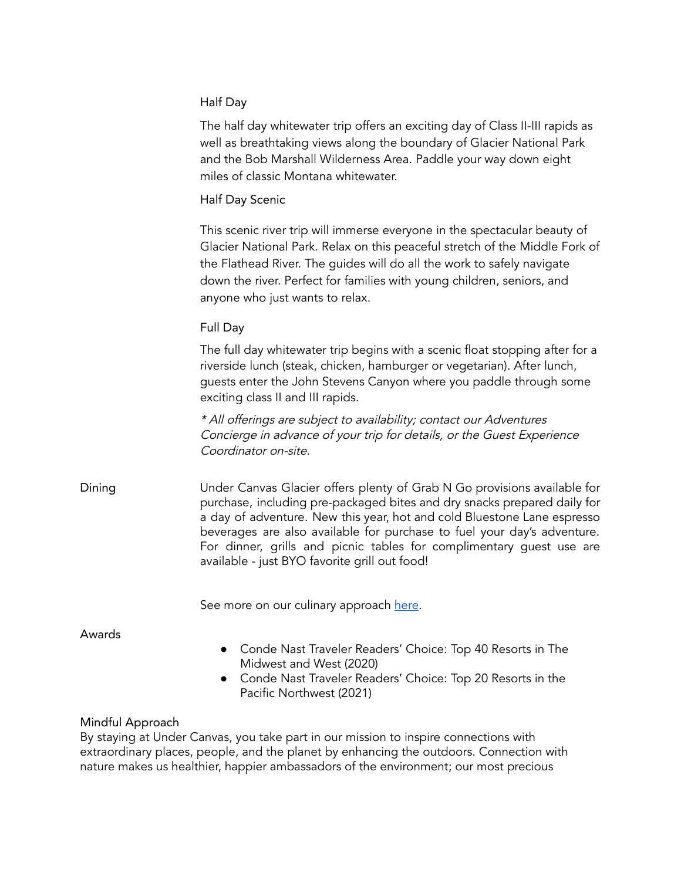# Half Day

The half day whitewater trip offers an exciting day of Class II-III rapids as well as breathtaking views along the boundary of Glacier National Park and the Bob Marshall Wilderness Area. Paddle your way down eight miles of classic Montana whitewater.

# Half Day Scenic

This scenic river trip will immerse everyone in the spectacular beauty of Glacier National Park. Relax on this peaceful stretch of the Middle Fork of the Flathead River. The guides will do all the work to safely navigate down the river. Perfect for families with young children, seniors, and anyone who just wants to relax.

# Full Day

The full day whitewater trip begins with a scenic float stopping after for a riverside lunch (steak, chicken, hamburger or vegetarian). After lunch, guests enter the John Stevens Canyon where you paddle through some exciting class II and III rapids.

\* All offerings are subject to availability; contact our Adventures Concierge in advance of your trip for details, or the Guest Experience Coordinator on-site.

Dining Under Canvas Glacier offers plenty of Grab N Go provisions available for purchase, including pre-packaged bites and dry snacks prepared daily for a day of adventure. New this year, hot and cold Bluestone Lane espresso beverages are also available for purchase to fuel your day's adventure. For dinner, grills and picnic tables for complimentary guest use are available - just BYO favorite grill out food!

See more on our culinary approach [here](https://www.undercanvas.com/culinary/).

Awards

- Conde Nast Traveler Readers' Choice: Top 40 Resorts in The Midwest and West (2020)
- Conde Nast Traveler Readers' Choice: Top 20 Resorts in the Pacific Northwest (2021)

# Mindful Approach

By staying at Under Canvas, you take part in our mission to inspire connections with extraordinary places, people, and the planet by enhancing the outdoors. Connection with nature makes us healthier, happier ambassadors of the environment; our most precious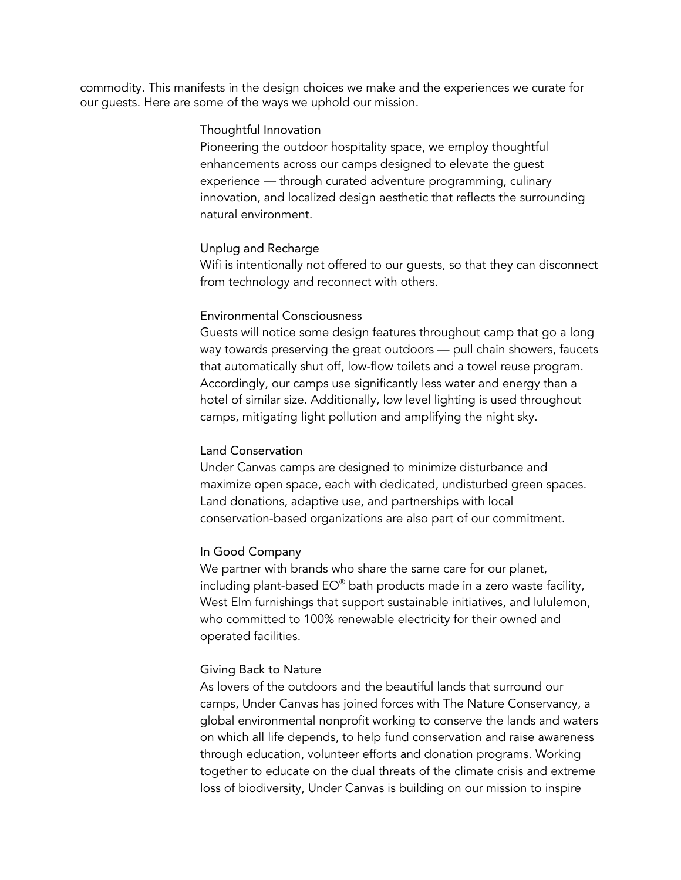commodity. This manifests in the design choices we make and the experiences we curate for our guests. Here are some of the ways we uphold our mission.

### Thoughtful Innovation

Pioneering the outdoor hospitality space, we employ thoughtful enhancements across our camps designed to elevate the guest experience — through curated adventure programming, culinary innovation, and localized design aesthetic that reflects the surrounding natural environment.

#### Unplug and Recharge

Wifi is intentionally not offered to our guests, so that they can disconnect from technology and reconnect with others.

### Environmental Consciousness

Guests will notice some design features throughout camp that go a long way towards preserving the great outdoors — pull chain showers, faucets that automatically shut off, low-flow toilets and a towel reuse program. Accordingly, our camps use significantly less water and energy than a hotel of similar size. Additionally, low level lighting is used throughout camps, mitigating light pollution and amplifying the night sky.

### Land Conservation

Under Canvas camps are designed to minimize disturbance and maximize open space, each with dedicated, undisturbed green spaces. Land donations, adaptive use, and partnerships with local conservation-based organizations are also part of our commitment.

### In Good Company

We partner with brands who share the same care for our planet, including plant-based EO® bath products made in a zero waste facility, West Elm furnishings that support sustainable initiatives, and lululemon, who committed to 100% renewable electricity for their owned and operated facilities.

### Giving Back to Nature

As lovers of the outdoors and the beautiful lands that surround our camps, Under Canvas has joined forces with The Nature Conservancy, a global environmental nonprofit working to conserve the lands and waters on which all life depends, to help fund conservation and raise awareness through education, volunteer efforts and donation programs. Working together to educate on the dual threats of the climate crisis and extreme loss of biodiversity, Under Canvas is building on our mission to inspire